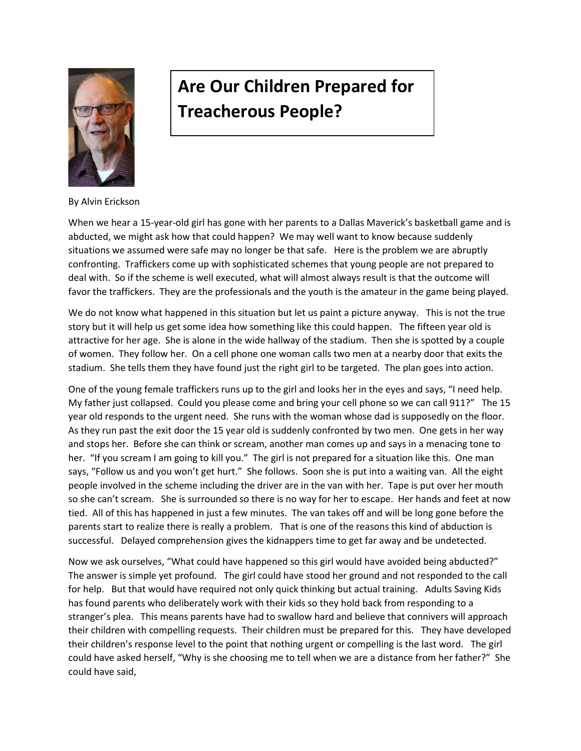

## **Are Our Children Prepared for Treacherous People?**

By Alvin Erickson

When we hear a 15-year-old girl has gone with her parents to a Dallas Maverick's basketball game and is abducted, we might ask how that could happen? We may well want to know because suddenly situations we assumed were safe may no longer be that safe. Here is the problem we are abruptly confronting. Traffickers come up with sophisticated schemes that young people are not prepared to deal with. So if the scheme is well executed, what will almost always result is that the outcome will favor the traffickers. They are the professionals and the youth is the amateur in the game being played.

We do not know what happened in this situation but let us paint a picture anyway. This is not the true story but it will help us get some idea how something like this could happen. The fifteen year old is attractive for her age. She is alone in the wide hallway of the stadium. Then she is spotted by a couple of women. They follow her. On a cell phone one woman calls two men at a nearby door that exits the stadium. She tells them they have found just the right girl to be targeted. The plan goes into action.

One of the young female traffickers runs up to the girl and looks her in the eyes and says, "I need help. My father just collapsed. Could you please come and bring your cell phone so we can call 911?" The 15 year old responds to the urgent need. She runs with the woman whose dad is supposedly on the floor. As they run past the exit door the 15 year old is suddenly confronted by two men. One gets in her way and stops her. Before she can think or scream, another man comes up and says in a menacing tone to her. "If you scream I am going to kill you." The girl is not prepared for a situation like this. One man says, "Follow us and you won't get hurt." She follows. Soon she is put into a waiting van. All the eight people involved in the scheme including the driver are in the van with her. Tape is put over her mouth so she can't scream. She is surrounded so there is no way for her to escape. Her hands and feet at now tied. All of this has happened in just a few minutes. The van takes off and will be long gone before the parents start to realize there is really a problem. That is one of the reasons this kind of abduction is successful. Delayed comprehension gives the kidnappers time to get far away and be undetected.

Now we ask ourselves, "What could have happened so this girl would have avoided being abducted?" The answer is simple yet profound. The girl could have stood her ground and not responded to the call for help. But that would have required not only quick thinking but actual training. Adults Saving Kids has found parents who deliberately work with their kids so they hold back from responding to a stranger's plea. This means parents have had to swallow hard and believe that connivers will approach their children with compelling requests. Their children must be prepared for this. They have developed their children's response level to the point that nothing urgent or compelling is the last word. The girl could have asked herself, "Why is she choosing me to tell when we are a distance from her father?" She could have said,